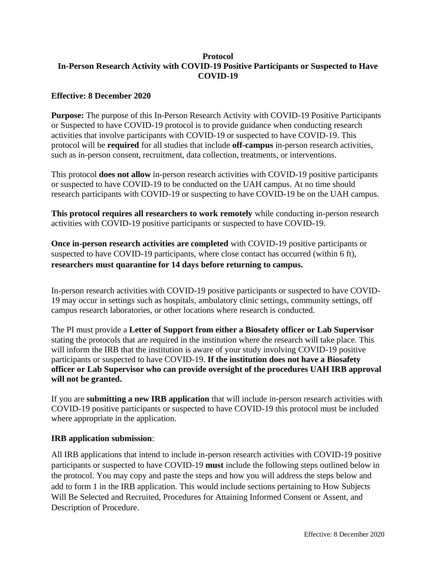### **Protocol In-Person Research Activity with COVID-19 Positive Participants or Suspected to Have COVID-19**

### **Effective: 8 December 2020**

**Purpose:** The purpose of this In-Person Research Activity with COVID-19 Positive Participants or Suspected to have COVID-19 protocol is to provide guidance when conducting research activities that involve participants with COVID-19 or suspected to have COVID-19. This protocol will be **required** for all studies that include **off-campus** in-person research activities, such as in-person consent, recruitment, data collection, treatments, or interventions.

This protocol **does not allow** in-person research activities with COVID-19 positive participants or suspected to have COVID-19 to be conducted on the UAH campus. At no time should research participants with COVID-19 or suspecting to have COVID-19 be on the UAH campus.

**This protocol requires all researchers to work remotely** while conducting in-person research activities with COVID-19 positive participants or suspected to have COVID-19.

**Once in-person research activities are completed** with COVID-19 positive participants or suspected to have COVID-19 participants, where close contact has occurred (within 6 ft), **researchers must quarantine for 14 days before returning to campus.** 

In-person research activities with COVID-19 positive participants or suspected to have COVID-19 may occur in settings such as hospitals, ambulatory clinic settings, community settings, off campus research laboratories, or other locations where research is conducted.

The PI must provide a **Letter of Support from either a Biosafety officer or Lab Supervisor** stating the protocols that are required in the institution where the research will take place. This will inform the IRB that the institution is aware of your study involving COVID-19 positive participants or suspected to have COVID-19. **If the institution does not have a Biosafety officer or Lab Supervisor who can provide oversight of the procedures UAH IRB approval will not be granted.**

If you are **submitting a new IRB application** that will include in-person research activities with COVID-19 positive participants or suspected to have COVID-19 this protocol must be included where appropriate in the application.

#### **IRB application submission**:

All IRB applications that intend to include in-person research activities with COVID-19 positive participants or suspected to have COVID-19 **must** include the following steps outlined below in the protocol. You may copy and paste the steps and how you will address the steps below and add to form 1 in the IRB application. This would include sections pertaining to How Subjects Will Be Selected and Recruited, Procedures for Attaining Informed Consent or Assent, and Description of Procedure.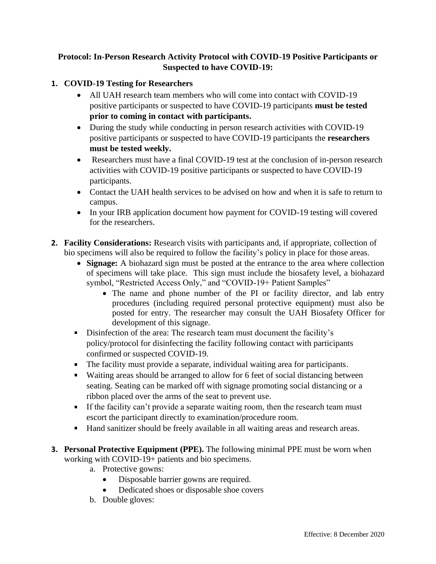# **Protocol: In-Person Research Activity Protocol with COVID-19 Positive Participants or Suspected to have COVID-19:**

# **1. COVID-19 Testing for Researchers**

- All UAH research team members who will come into contact with COVID-19 positive participants or suspected to have COVID-19 participants **must be tested prior to coming in contact with participants.**
- During the study while conducting in person research activities with COVID-19 positive participants or suspected to have COVID-19 participants the **researchers must be tested weekly.**
- Researchers must have a final COVID-19 test at the conclusion of in-person research activities with COVID-19 positive participants or suspected to have COVID-19 participants.
- Contact the UAH health services to be advised on how and when it is safe to return to campus.
- In your IRB application document how payment for COVID-19 testing will covered for the researchers.
- **2. Facility Considerations:** Research visits with participants and, if appropriate, collection of bio specimens will also be required to follow the facility's policy in place for those areas.
	- **Signage:** A biohazard sign must be posted at the entrance to the area where collection of specimens will take place. This sign must include the biosafety level, a biohazard symbol, "Restricted Access Only," and "COVID-19+ Patient Samples"
		- The name and phone number of the PI or facility director, and lab entry procedures (including required personal protective equipment) must also be posted for entry. The researcher may consult the UAH Biosafety Officer for development of this signage.
	- Disinfection of the area: The research team must document the facility's policy/protocol for disinfecting the facility following contact with participants confirmed or suspected COVID-19.
	- The facility must provide a separate, individual waiting area for participants.
	- Waiting areas should be arranged to allow for 6 feet of social distancing between seating. Seating can be marked off with signage promoting social distancing or a ribbon placed over the arms of the seat to prevent use.
	- If the facility can't provide a separate waiting room, then the research team must escort the participant directly to examination/procedure room.
	- Hand sanitizer should be freely available in all waiting areas and research areas.  $\mathbf{u} = \mathbf{u}$
- **3. Personal Protective Equipment (PPE).** The following minimal PPE must be worn when working with COVID-19+ patients and bio specimens.
	- a. Protective gowns:
		- Disposable barrier gowns are required.
		- Dedicated shoes or disposable shoe covers
	- b. Double gloves: